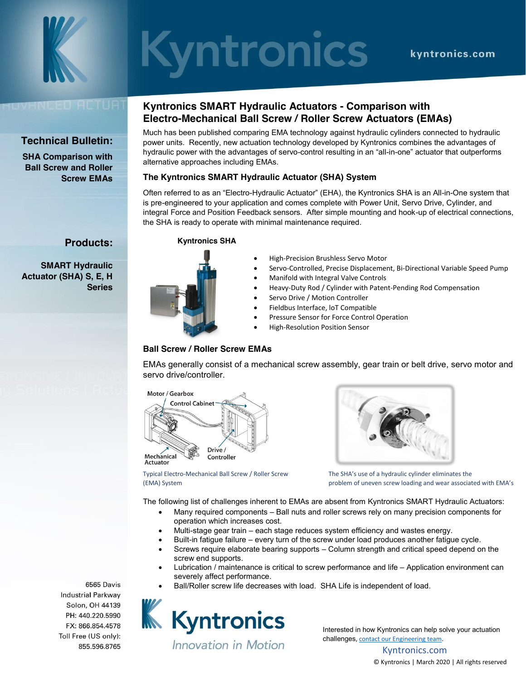

# Syntronics

# IVHNDED ACTUA

# **Technical Bulletin:**

**SHA Comparison with Ball Screw and Roller Screw EMAs**

**Products:**

**Series**

**SMART Hydraulic Actuator (SHA) S, E, H** 

## **Kyntronics SMART Hydraulic Actuators - Comparison with Electro-Mechanical Ball Screw / Roller Screw Actuators (EMAs)**

Much has been published comparing EMA technology against hydraulic cylinders connected to hydraulic power units. Recently, new actuation technology developed by Kyntronics combines the advantages of hydraulic power with the advantages of servo-control resulting in an "all-in-one" actuator that outperforms alternative approaches including EMAs.

### **The Kyntronics SMART Hydraulic Actuator (SHA) System**

Often referred to as an "Electro-Hydraulic Actuator" (EHA), the Kyntronics SHA is an All-in-One system that is pre-engineered to your application and comes complete with Power Unit, Servo Drive, Cylinder, and integral Force and Position Feedback sensors. After simple mounting and hook-up of electrical connections, the SHA is ready to operate with minimal maintenance required.

#### **Kyntronics SHA**



- High-Precision Brushless Servo Motor
- Servo-Controlled, Precise Displacement, Bi-Directional Variable Speed Pump
- x Manifold with Integral Valve Controls
- Heavy-Duty Rod / Cylinder with Patent-Pending Rod Compensation
- Servo Drive / Motion Controller
- Fieldbus Interface, IoT Compatible
- Pressure Sensor for Force Control Operation
- High-Resolution Position Sensor

### **Ball Screw / Roller Screw EMAs**

EMAs generally consist of a mechanical screw assembly, gear train or belt drive, servo motor and servo drive/controller.





Typical Electro-Mechanical Ball Screw / Roller Screw The SHA's use of a hydraulic cylinder eliminates the

(EMA) System problem of uneven screw loading and wear associated with EMA's

The following list of challenges inherent to EMAs are absent from Kyntronics SMART Hydraulic Actuators:

- Many required components Ball nuts and roller screws rely on many precision components for operation which increases cost.
- Multi-stage gear train each stage reduces system efficiency and wastes energy.
- Built-in fatigue failure every turn of the screw under load produces another fatigue cycle.
- Screws require elaborate bearing supports Column strength and critical speed depend on the screw end supports.
- Lubrication / maintenance is critical to screw performance and life Application environment can severely affect performance.
- Ball/Roller screw life decreases with load. SHA Life is independent of load.



Interested in how Kyntronics can help solve your actuation challenges[, contact our Engineering team.](https://kyntronics.com/how-to-buy)

> Kyntronics.com © Kyntronics | March 2020 | All rights reserved

6565 Davis **Industrial Parkway** FX: 866.854.4578 Toll Free (US only): 855.596.8765